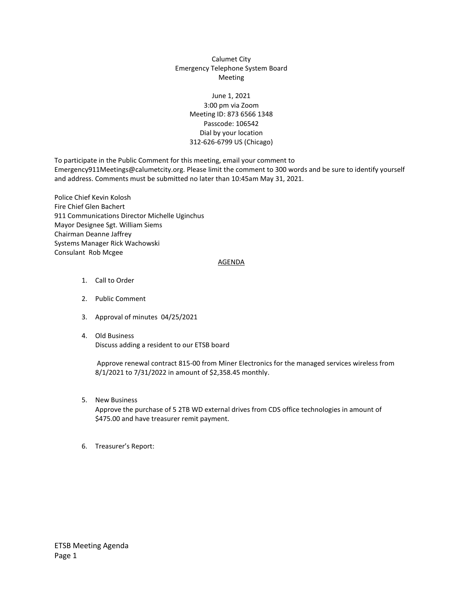## Calumet City Emergency Telephone System Board Meeting

## June 1, 2021 3:00 pm via Zoom Meeting ID: 873 6566 1348 Passcode: 106542 Dial by your location 312-626-6799 US (Chicago)

To participate in the Public Comment for this meeting, email your comment to Emergency911Meetings@calumetcity.org. Please limit the comment to 300 words and be sure to identify yourself and address. Comments must be submitted no later than 10:45am May 31, 2021.

Police Chief Kevin Kolosh Fire Chief Glen Bachert 911 Communications Director Michelle Uginchus Mayor Designee Sgt. William Siems Chairman Deanne Jaffrey Systems Manager Rick Wachowski Consulant Rob Mcgee

## AGENDA

- 1. Call to Order
- 2. Public Comment
- 3. Approval of minutes 04/25/2021
- 4. Old Business Discuss adding a resident to our ETSB board

Approve renewal contract 815-00 from Miner Electronics for the managed services wireless from 8/1/2021 to 7/31/2022 in amount of \$2,358.45 monthly.

5. New Business

Approve the purchase of 5 2TB WD external drives from CDS office technologies in amount of \$475.00 and have treasurer remit payment.

6. Treasurer's Report: